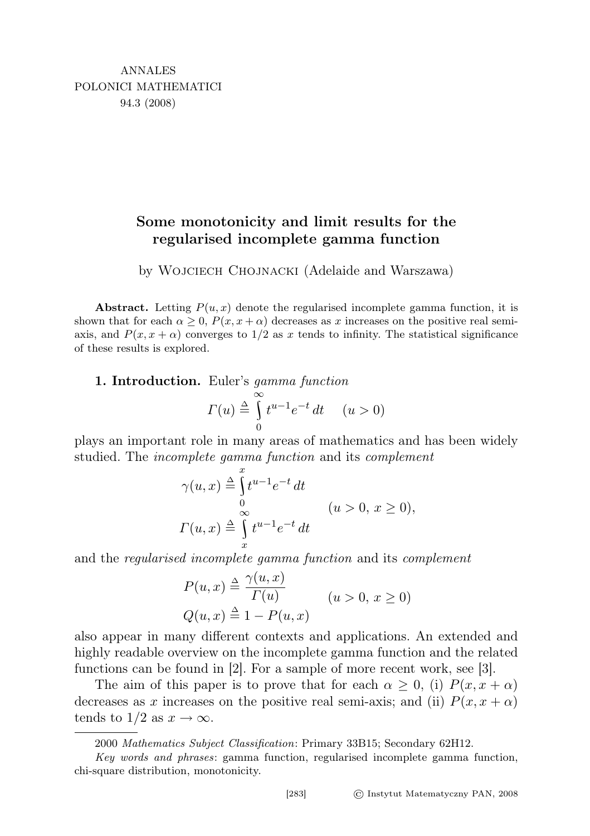## Some monotonicity and limit results for the regularised incomplete gamma function

by Wojciech Chojnacki (Adelaide and Warszawa)

Abstract. Letting  $P(u, x)$  denote the regularised incomplete gamma function, it is shown that for each  $\alpha \geq 0$ ,  $P(x, x + \alpha)$  decreases as x increases on the positive real semiaxis, and  $P(x, x + \alpha)$  converges to  $1/2$  as x tends to infinity. The statistical significance of these results is explored.

1. Introduction. Euler's gamma function

$$
\Gamma(u) \stackrel{\triangle}{=} \int_{0}^{\infty} t^{u-1} e^{-t} dt \quad (u > 0)
$$

plays an important role in many areas of mathematics and has been widely studied. The *incomplete gamma function* and its *complement* 

$$
\gamma(u, x) \stackrel{\Delta}{=} \int_{0}^{x} t^{u-1} e^{-t} dt
$$
  
\n
$$
\Gamma(u, x) \stackrel{\Delta}{=} \int_{x}^{\infty} t^{u-1} e^{-t} dt
$$
  
\n
$$
(u > 0, x \ge 0),
$$

and the regularised incomplete gamma function and its complement

$$
P(u, x) \triangleq \frac{\gamma(u, x)}{\Gamma(u)} \qquad (u > 0, x \ge 0)
$$
  

$$
Q(u, x) \triangleq 1 - P(u, x)
$$

also appear in many different contexts and applications. An extended and highly readable overview on the incomplete gamma function and the related functions can be found in [2]. For a sample of more recent work, see [3].

The aim of this paper is to prove that for each  $\alpha \geq 0$ , (i)  $P(x, x + \alpha)$ decreases as x increases on the positive real semi-axis; and (ii)  $P(x, x + \alpha)$ tends to  $1/2$  as  $x \to \infty$ .

<sup>2000</sup> Mathematics Subject Classification: Primary 33B15; Secondary 62H12.

Key words and phrases: gamma function, regularised incomplete gamma function, chi-square distribution, monotonicity.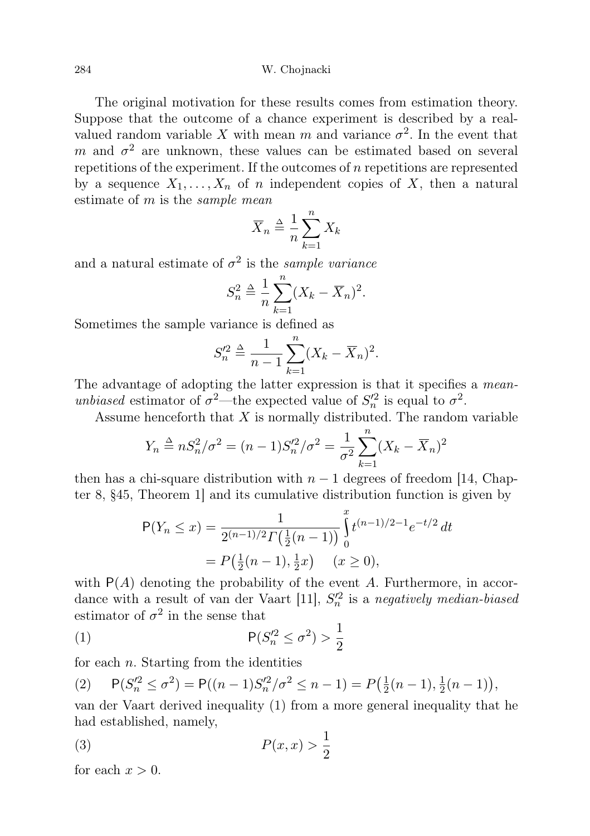284 W. Chojnacki

The original motivation for these results comes from estimation theory. Suppose that the outcome of a chance experiment is described by a realvalued random variable X with mean m and variance  $\sigma^2$ . In the event that m and  $\sigma^2$  are unknown, these values can be estimated based on several repetitions of the experiment. If the outcomes of  $n$  repetitions are represented by a sequence  $X_1, \ldots, X_n$  of n independent copies of X, then a natural estimate of  $m$  is the *sample mean* 

$$
\overline{X}_n \triangleq \frac{1}{n} \sum_{k=1}^n X_k
$$

and a natural estimate of  $\sigma^2$  is the *sample variance* 

$$
S_n^2 \triangleq \frac{1}{n} \sum_{k=1}^n (X_k - \overline{X}_n)^2.
$$

Sometimes the sample variance is defined as

$$
S_n'^2 \triangleq \frac{1}{n-1} \sum_{k=1}^n (X_k - \overline{X}_n)^2.
$$

The advantage of adopting the latter expression is that it specifies a *mean*unbiased estimator of  $\sigma^2$ —the expected value of  $S_n^2$  is equal to  $\sigma^2$ .

Assume henceforth that  $X$  is normally distributed. The random variable

$$
Y_n \stackrel{\Delta}{=} nS_n^2/\sigma^2 = (n-1)S_n'^2/\sigma^2 = \frac{1}{\sigma^2} \sum_{k=1}^n (X_k - \overline{X}_n)^2
$$

then has a chi-square distribution with  $n-1$  degrees of freedom [14, Chapter 8, §45, Theorem 1] and its cumulative distribution function is given by

$$
P(Y_n \le x) = \frac{1}{2^{(n-1)/2} \Gamma(\frac{1}{2}(n-1))} \int_0^x t^{(n-1)/2 - 1} e^{-t/2} dt
$$
  
=  $P(\frac{1}{2}(n-1), \frac{1}{2}x) \quad (x \ge 0),$ 

with  $P(A)$  denoting the probability of the event A. Furthermore, in accordance with a result of van der Vaart [11],  $S_n^2$  is a negatively median-biased estimator of  $\sigma^2$  in the sense that

$$
(1) \qquad \qquad \mathsf{P}(S_n'^2 \le \sigma^2) > \frac{1}{2}
$$

for each  $n$ . Starting from the identities

$$
(2) \qquad \mathsf{P}(S_n'^2 \le \sigma^2) = \mathsf{P}((n-1)S_n'^2/\sigma^2 \le n-1) = P\big(\tfrac{1}{2}(n-1), \tfrac{1}{2}(n-1)\big),
$$

van der Vaart derived inequality (1) from a more general inequality that he had established, namely,

$$
(3) \t\t P(x,x) > \frac{1}{2}
$$

for each  $x > 0$ .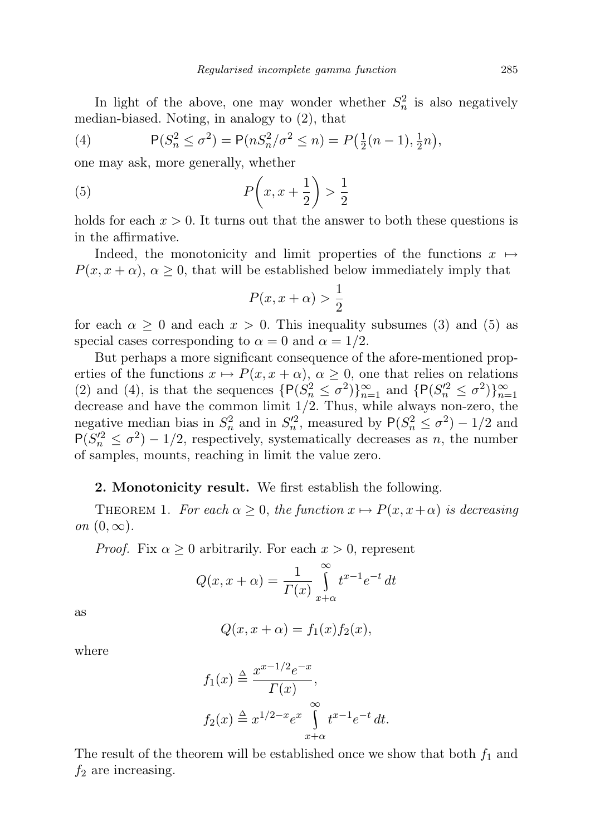In light of the above, one may wonder whether  $S_n^2$  is also negatively median-biased. Noting, in analogy to (2), that

(4) 
$$
P(S_n^2 \le \sigma^2) = P(nS_n^2/\sigma^2 \le n) = P(\frac{1}{2}(n-1), \frac{1}{2}n),
$$

one may ask, more generally, whether

$$
(5) \tP\left(x, x + \frac{1}{2}\right) > \frac{1}{2}
$$

holds for each  $x > 0$ . It turns out that the answer to both these questions is in the affirmative.

Indeed, the monotonicity and limit properties of the functions  $x \mapsto$  $P(x, x + \alpha)$ ,  $\alpha \geq 0$ , that will be established below immediately imply that

$$
P(x, x + \alpha) > \frac{1}{2}
$$

for each  $\alpha \geq 0$  and each  $x > 0$ . This inequality subsumes (3) and (5) as special cases corresponding to  $\alpha = 0$  and  $\alpha = 1/2$ .

But perhaps a more significant consequence of the afore-mentioned properties of the functions  $x \mapsto P(x, x + \alpha)$ ,  $\alpha \geq 0$ , one that relies on relations (2) and (4), is that the sequences  $\{P(S_n^2 \leq \sigma^2)\}_{n=1}^{\infty}$  and  $\{P(S_n'^2 \leq \sigma^2)\}_{n=1}^{\infty}$ decrease and have the common limit  $1/2$ . Thus, while always non-zero, the negative median bias in  $S_n^2$  and in  $S_n'^2$ , measured by  $P(S_n^2 \leq \sigma^2) - 1/2$  and  $P(S_n^2 \leq \sigma^2) - 1/2$ , respectively, systematically decreases as n, the number of samples, mounts, reaching in limit the value zero.

## 2. Monotonicity result. We first establish the following.

THEOREM 1. For each  $\alpha \geq 0$ , the function  $x \mapsto P(x, x+\alpha)$  is decreasing on  $(0, \infty)$ .

*Proof.* Fix  $\alpha \geq 0$  arbitrarily. For each  $x > 0$ , represent

$$
Q(x, x + \alpha) = \frac{1}{\Gamma(x)} \int_{x+\alpha}^{\infty} t^{x-1} e^{-t} dt
$$

as

$$
Q(x, x + \alpha) = f_1(x) f_2(x),
$$

where

$$
f_1(x) \stackrel{\Delta}{=} \frac{x^{x-1/2}e^{-x}}{\Gamma(x)},
$$
  

$$
f_2(x) \stackrel{\Delta}{=} x^{1/2-x}e^x \int_{x+\alpha}^{\infty} t^{x-1}e^{-t} dt.
$$

The result of the theorem will be established once we show that both  $f_1$  and  $f_2$  are increasing.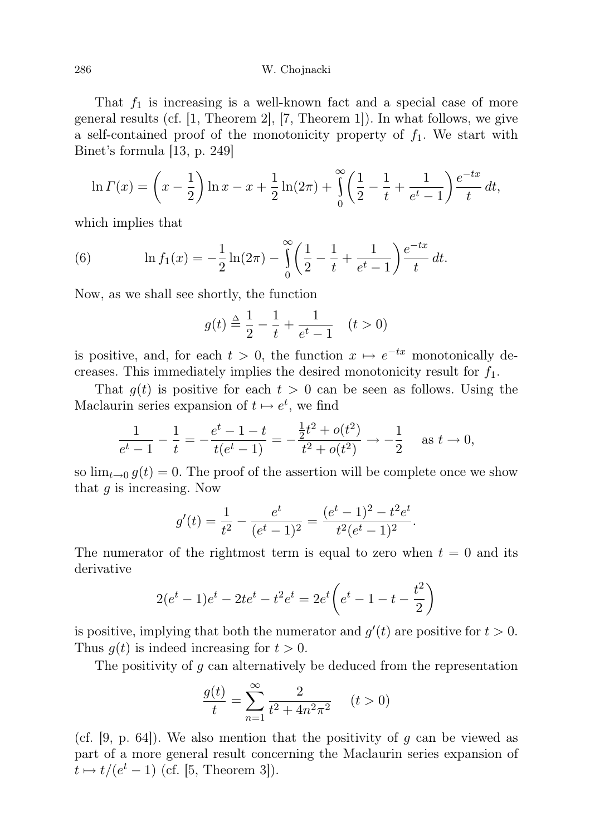That  $f_1$  is increasing is a well-known fact and a special case of more general results (cf. [1, Theorem 2], [7, Theorem 1]). In what follows, we give a self-contained proof of the monotonicity property of  $f_1$ . We start with Binet's formula [13, p. 249]

$$
\ln \Gamma(x) = \left(x - \frac{1}{2}\right) \ln x - x + \frac{1}{2} \ln(2\pi) + \int_{0}^{\infty} \left(\frac{1}{2} - \frac{1}{t} + \frac{1}{e^t - 1}\right) \frac{e^{-tx}}{t} dt,
$$

which implies that

(6) 
$$
\ln f_1(x) = -\frac{1}{2}\ln(2\pi) - \int_0^\infty \left(\frac{1}{2} - \frac{1}{t} + \frac{1}{e^t - 1}\right) \frac{e^{-tx}}{t} dt.
$$

Now, as we shall see shortly, the function

$$
g(t) \stackrel{\Delta}{=} \frac{1}{2} - \frac{1}{t} + \frac{1}{e^t - 1} \quad (t > 0)
$$

is positive, and, for each  $t > 0$ , the function  $x \mapsto e^{-tx}$  monotonically decreases. This immediately implies the desired monotonicity result for  $f_1$ .

That  $g(t)$  is positive for each  $t > 0$  can be seen as follows. Using the Maclaurin series expansion of  $t \mapsto e^t$ , we find

$$
\frac{1}{e^t - 1} - \frac{1}{t} = -\frac{e^t - 1 - t}{t(e^t - 1)} = -\frac{\frac{1}{2}t^2 + o(t^2)}{t^2 + o(t^2)} \to -\frac{1}{2} \quad \text{as } t \to 0,
$$

so  $\lim_{t\to 0} g(t) = 0$ . The proof of the assertion will be complete once we show that  $q$  is increasing. Now

$$
g'(t) = \frac{1}{t^2} - \frac{e^t}{(e^t - 1)^2} = \frac{(e^t - 1)^2 - t^2 e^t}{t^2 (e^t - 1)^2}.
$$

The numerator of the rightmost term is equal to zero when  $t = 0$  and its derivative

$$
2(et - 1)et - 2tet - t2et = 2et \left(et - 1 - t - \frac{t2}{2}\right)
$$

is positive, implying that both the numerator and  $g'(t)$  are positive for  $t > 0$ . Thus  $g(t)$  is indeed increasing for  $t > 0$ .

The positivity of g can alternatively be deduced from the representation

$$
\frac{g(t)}{t} = \sum_{n=1}^{\infty} \frac{2}{t^2 + 4n^2 \pi^2} \quad (t > 0)
$$

(cf.  $[9, p. 64]$ ). We also mention that the positivity of g can be viewed as part of a more general result concerning the Maclaurin series expansion of  $t \mapsto t/(e^t - 1)$  (cf. [5, Theorem 3]).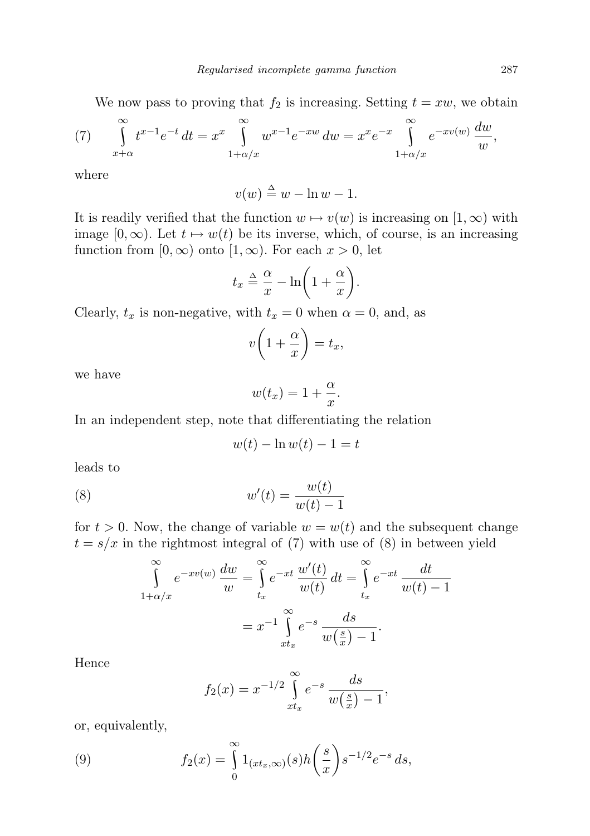We now pass to proving that  $f_2$  is increasing. Setting  $t = xw$ , we obtain

(7) 
$$
\int_{x+\alpha}^{\infty} t^{x-1}e^{-t} dt = x^x \int_{1+\alpha/x}^{\infty} w^{x-1}e^{-xw} dw = x^x e^{-x} \int_{1+\alpha/x}^{\infty} e^{-xv(w)} \frac{dw}{w},
$$

where

$$
v(w) \stackrel{\Delta}{=} w - \ln w - 1.
$$

It is readily verified that the function  $w \mapsto v(w)$  is increasing on  $[1, \infty)$  with image  $[0, \infty)$ . Let  $t \mapsto w(t)$  be its inverse, which, of course, is an increasing function from  $[0, \infty)$  onto  $[1, \infty)$ . For each  $x > 0$ , let

$$
t_x \triangleq \frac{\alpha}{x} - \ln\bigg(1 + \frac{\alpha}{x}\bigg).
$$

Clearly,  $t_x$  is non-negative, with  $t_x = 0$  when  $\alpha = 0$ , and, as

$$
v\bigg(1+\frac{\alpha}{x}\bigg)=t_x,
$$

we have

$$
w(t_x) = 1 + \frac{\alpha}{x}.
$$

In an independent step, note that differentiating the relation

$$
w(t) - \ln w(t) - 1 = t
$$

leads to

$$
(8) \t\t\t w'(t) = \frac{w(t)}{w(t) - 1}
$$

for  $t > 0$ . Now, the change of variable  $w = w(t)$  and the subsequent change  $t = s/x$  in the rightmost integral of (7) with use of (8) in between yield

$$
\int_{1+\alpha/x}^{\infty} e^{-xv(w)} \frac{dw}{w} = \int_{t_x}^{\infty} e^{-xt} \frac{w'(t)}{w(t)} dt = \int_{t_x}^{\infty} e^{-xt} \frac{dt}{w(t) - 1}
$$

$$
= x^{-1} \int_{xt_x}^{\infty} e^{-s} \frac{ds}{w(\frac{s}{x}) - 1}.
$$

Hence

$$
f_2(x) = x^{-1/2} \int_{xt_x}^{\infty} e^{-s} \frac{ds}{w(\frac{s}{x}) - 1},
$$

or, equivalently,

(9) 
$$
f_2(x) = \int_{0}^{\infty} 1_{(xt_x,\infty)}(s)h\left(\frac{s}{x}\right)s^{-1/2}e^{-s} ds,
$$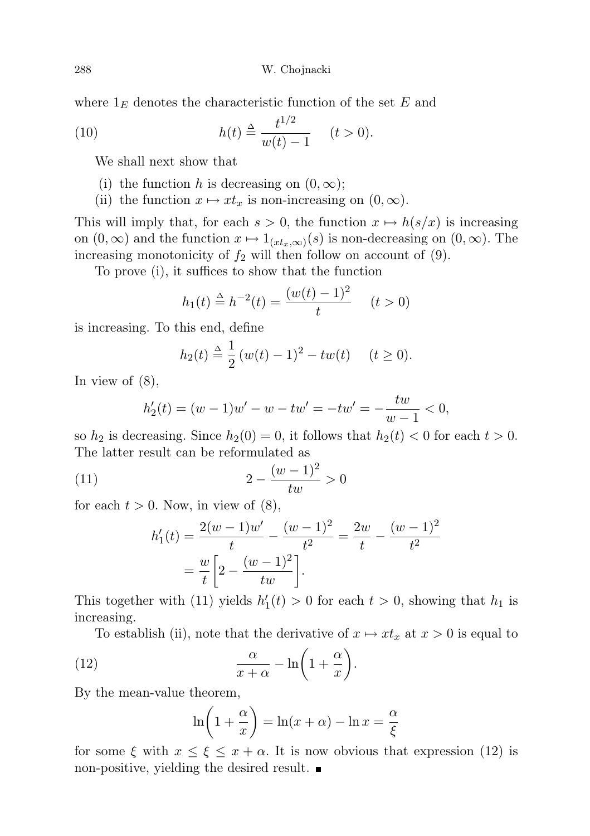288 W. Chojnacki

where  $1<sub>E</sub>$  denotes the characteristic function of the set E and

(10) 
$$
h(t) \stackrel{\Delta}{=} \frac{t^{1/2}}{w(t) - 1} \quad (t > 0).
$$

We shall next show that

- (i) the function h is decreasing on  $(0, \infty)$ ;
- (ii) the function  $x \mapsto xt_x$  is non-increasing on  $(0, \infty)$ .

This will imply that, for each  $s > 0$ , the function  $x \mapsto h(s/x)$  is increasing on  $(0, \infty)$  and the function  $x \mapsto 1_{(xt_x,\infty)}(s)$  is non-decreasing on  $(0, \infty)$ . The increasing monotonicity of  $f_2$  will then follow on account of  $(9)$ .

To prove (i), it suffices to show that the function

$$
h_1(t) \stackrel{\Delta}{=} h^{-2}(t) = \frac{(w(t) - 1)^2}{t} \quad (t > 0)
$$

is increasing. To this end, define

$$
h_2(t) \triangleq \frac{1}{2} (w(t) - 1)^2 - tw(t) \quad (t \ge 0).
$$

In view of (8),

$$
h_2'(t) = (w - 1)w' - w - tw' = -tw' = -\frac{tw}{w - 1} < 0,
$$

so  $h_2$  is decreasing. Since  $h_2(0) = 0$ , it follows that  $h_2(t) < 0$  for each  $t > 0$ . The latter result can be reformulated as

(11) 
$$
2 - \frac{(w-1)^2}{tw} > 0
$$

for each  $t > 0$ . Now, in view of  $(8)$ ,

$$
h'_1(t) = \frac{2(w-1)w'}{t} - \frac{(w-1)^2}{t^2} = \frac{2w}{t} - \frac{(w-1)^2}{t^2}
$$

$$
= \frac{w}{t} \left[ 2 - \frac{(w-1)^2}{tw} \right].
$$

This together with (11) yields  $h'_1(t) > 0$  for each  $t > 0$ , showing that  $h_1$  is increasing.

To establish (ii), note that the derivative of  $x \mapsto xt_x$  at  $x > 0$  is equal to

(12) 
$$
\frac{\alpha}{x+\alpha} - \ln\left(1+\frac{\alpha}{x}\right).
$$

By the mean-value theorem,

$$
\ln\left(1+\frac{\alpha}{x}\right) = \ln(x+\alpha) - \ln x = \frac{\alpha}{\xi}
$$

for some  $\xi$  with  $x \leq \xi \leq x + \alpha$ . It is now obvious that expression (12) is non-positive, yielding the desired result.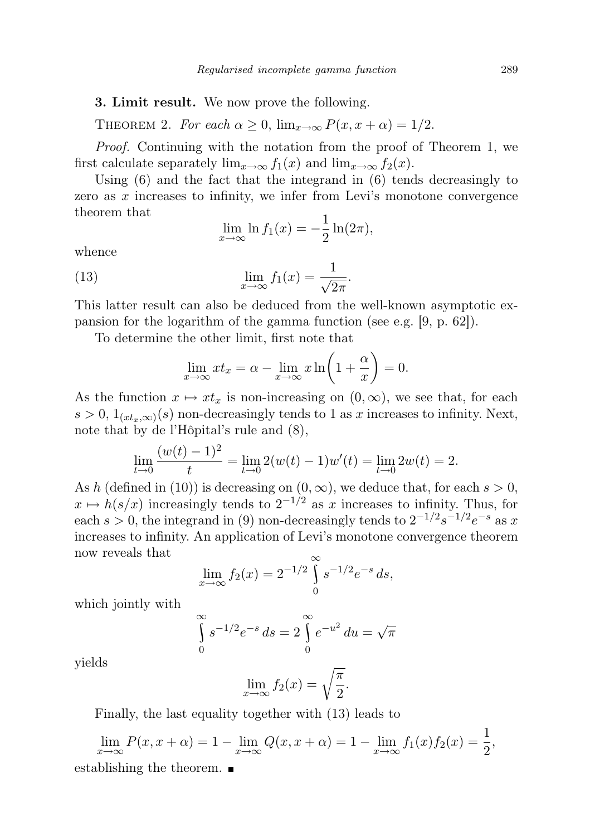## 3. Limit result. We now prove the following.

THEOREM 2. For each  $\alpha \geq 0$ ,  $\lim_{x\to\infty} P(x, x + \alpha) = 1/2$ .

Proof. Continuing with the notation from the proof of Theorem 1, we first calculate separately  $\lim_{x\to\infty} f_1(x)$  and  $\lim_{x\to\infty} f_2(x)$ .

Using (6) and the fact that the integrand in (6) tends decreasingly to zero as x increases to infinity, we infer from Levi's monotone convergence theorem that

$$
\lim_{x \to \infty} \ln f_1(x) = -\frac{1}{2} \ln(2\pi),
$$

whence

(13) 
$$
\lim_{x \to \infty} f_1(x) = \frac{1}{\sqrt{2\pi}}.
$$

This latter result can also be deduced from the well-known asymptotic expansion for the logarithm of the gamma function (see e.g. [9, p. 62]).

To determine the other limit, first note that

$$
\lim_{x \to \infty} x t_x = \alpha - \lim_{x \to \infty} x \ln \left( 1 + \frac{\alpha}{x} \right) = 0.
$$

As the function  $x \mapsto xt_x$  is non-increasing on  $(0, \infty)$ , we see that, for each  $s > 0, 1_{(xt_x,\infty)}(s)$  non-decreasingly tends to 1 as x increases to infinity. Next, note that by de l'Hôpital's rule and (8),

$$
\lim_{t \to 0} \frac{(w(t) - 1)^2}{t} = \lim_{t \to 0} 2(w(t) - 1)w'(t) = \lim_{t \to 0} 2w(t) = 2.
$$

As h (defined in (10)) is decreasing on  $(0, \infty)$ , we deduce that, for each  $s > 0$ ,  $x \mapsto h(s/x)$  increasingly tends to  $2^{-1/2}$  as x increases to infinity. Thus, for each  $s > 0$ , the integrand in (9) non-decreasingly tends to  $2^{-1/2}s^{-1/2}e^{-s}$  as x increases to infinity. An application of Levi's monotone convergence theorem now reveals that

$$
\lim_{x \to \infty} f_2(x) = 2^{-1/2} \int_0^\infty s^{-1/2} e^{-s} ds,
$$

which jointly with

$$
\int_{0}^{\infty} s^{-1/2} e^{-s} ds = 2 \int_{0}^{\infty} e^{-u^2} du = \sqrt{\pi}
$$

yields

$$
\lim_{x \to \infty} f_2(x) = \sqrt{\frac{\pi}{2}}.
$$

Finally, the last equality together with (13) leads to

$$
\lim_{x \to \infty} P(x, x + \alpha) = 1 - \lim_{x \to \infty} Q(x, x + \alpha) = 1 - \lim_{x \to \infty} f_1(x) f_2(x) = \frac{1}{2},
$$
 establishing the theorem.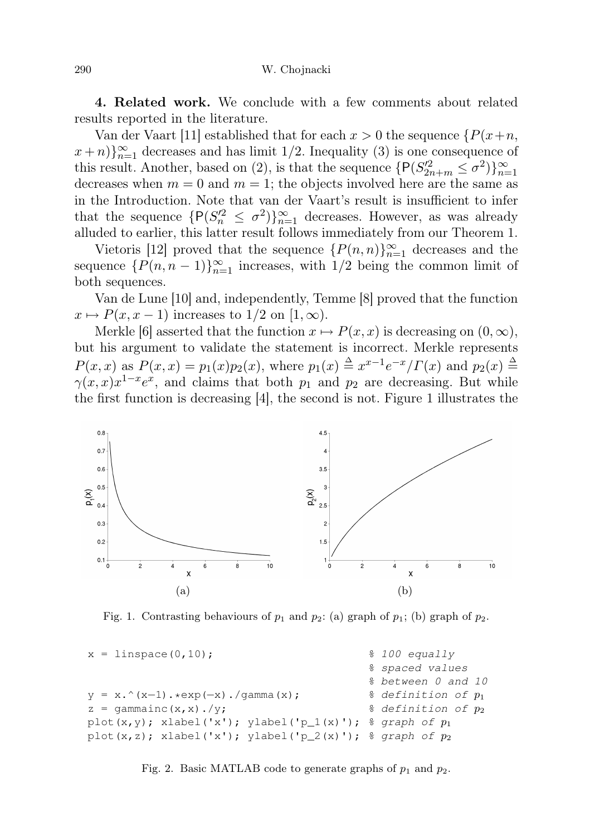4. Related work. We conclude with a few comments about related results reported in the literature.

Van der Vaart [11] established that for each  $x > 0$  the sequence  $\{P(x+n, \cdot)\}$  $(x+n)\}_{n=1}^{\infty}$  decreases and has limit 1/2. Inequality (3) is one consequence of this result. Another, based on (2), is that the sequence  $\{P(S_{2n+m}^{\prime 2} \leq \sigma^2)\}_{n=1}^{\infty}$ decreases when  $m = 0$  and  $m = 1$ ; the objects involved here are the same as in the Introduction. Note that van der Vaart's result is insufficient to infer that the sequence  $\{P(S_n^2 \leq \sigma^2)\}_{n=1}^{\infty}$  decreases. However, as was already alluded to earlier, this latter result follows immediately from our Theorem 1.

Vietoris [12] proved that the sequence  $\{P(n,n)\}_{n=1}^{\infty}$  decreases and the sequence  $\{P(n, n-1)\}_{n=1}^{\infty}$  increases, with  $1/2$  being the common limit of both sequences.

Van de Lune [10] and, independently, Temme [8] proved that the function  $x \mapsto P(x, x - 1)$  increases to  $1/2$  on  $[1, \infty)$ .

Merkle [6] asserted that the function  $x \mapsto P(x, x)$  is decreasing on  $(0, \infty)$ , but his argument to validate the statement is incorrect. Merkle represents  $P(x, x)$  as  $P(x, x) = p_1(x)p_2(x)$ , where  $p_1(x) \triangleq x^{x-1}e^{-x}/\Gamma(x)$  and  $p_2(x) \triangleq$  $\gamma(x,x)x^{1-x}e^x$ , and claims that both  $p_1$  and  $p_2$  are decreasing. But while the first function is decreasing [4], the second is not. Figure 1 illustrates the



Fig. 1. Contrasting behaviours of  $p_1$  and  $p_2$ : (a) graph of  $p_1$ ; (b) graph of  $p_2$ .

```
x = 1inspace(0,10); \frac{8}{100} equally
                                         spaced values
                                        % between 0 and 10
y = x.^(x-1).*exp(-x)./qamma(x); % definition of p_1z = qammainc(x,x)./y; \frac{1}{2} & definition of p_2plot(x,y); xlabel('x'); ylabel('p_1(x)'); \frac{2}{3} graph of p_1plot(x,z); xlabel('x'); ylabel('p_2(x)'); % graph of p_2
```
Fig. 2. Basic MATLAB code to generate graphs of  $p_1$  and  $p_2$ .